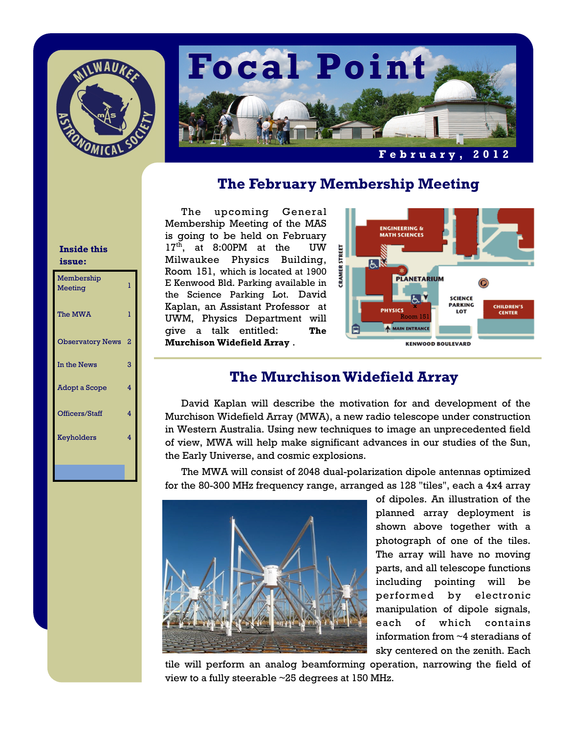



## **The February Membership Meeting**

The upcoming General Membership Meeting of the MAS is going to be held on February  $17<sup>th</sup>$ , at 8:00PM at the UW Milwaukee Physics Building, Room 151, which is located at 1900 E Kenwood Bld. Parking available in the Science Parking Lot. David Kaplan, an Assistant Professor at UWM, Physics Department will give a talk entitled: **The Murchison Widefield Array** .



# **The Murchison Widefield Array**

 David Kaplan will describe the motivation for and development of the Murchison Widefield Array (MWA), a new radio telescope under construction in Western Australia. Using new techniques to image an unprecedented field of view, MWA will help make significant advances in our studies of the Sun, the Early Universe, and cosmic explosions.

 The MWA will consist of 2048 dual-polarization dipole antennas optimized for the 80-300 MHz frequency range, arranged as 128 "tiles", each a 4x4 array



of dipoles. An illustration of the planned array deployment is shown above together with a photograph of one of the tiles. The array will have no moving parts, and all telescope functions including pointing will be performed by electronic manipulation of dipole signals, each of which contains information from ~4 steradians of sky centered on the zenith. Each

tile will perform an analog beamforming operation, narrowing the field of view to a fully steerable ~25 degrees at 150 MHz.

#### **Inside this issue:**

| Membership<br>Meeting   | 1 |
|-------------------------|---|
| The MWA                 | ı |
| <b>Observatory News</b> | 2 |
| In the News             | 3 |
| Adopt a Scope           | 4 |
| Officers/Staff          | 4 |
| Keyholders              | 4 |
|                         |   |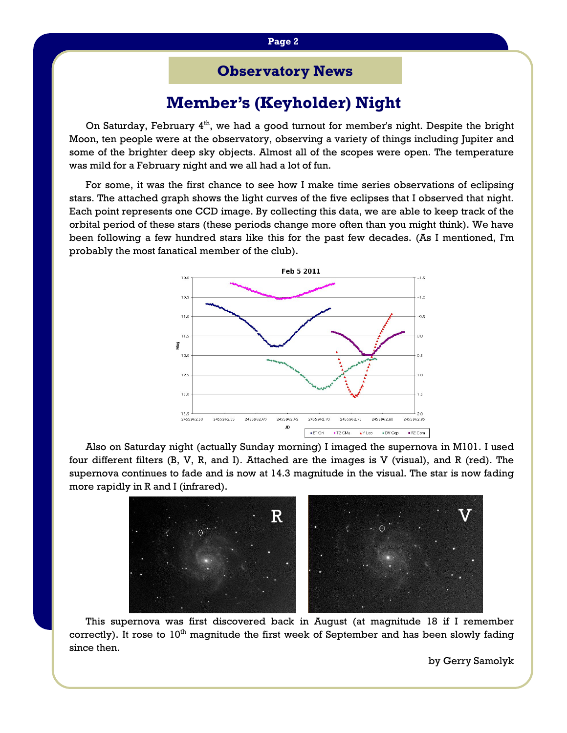## **Observatory News**

## **Member's (Keyholder) Night**

On Saturday, February  $4<sup>th</sup>$ , we had a good turnout for member's night. Despite the bright Moon, ten people were at the observatory, observing a variety of things including Jupiter and some of the brighter deep sky objects. Almost all of the scopes were open. The temperature was mild for a February night and we all had a lot of fun.

 For some, it was the first chance to see how I make time series observations of eclipsing stars. The attached graph shows the light curves of the five eclipses that I observed that night. Each point represents one CCD image. By collecting this data, we are able to keep track of the orbital period of these stars (these periods change more often than you might think). We have been following a few hundred stars like this for the past few decades. (As I mentioned, I'm probably the most fanatical member of the club).



Also on Saturday night (actually Sunday morning) I imaged the supernova in M101. I used four different filters (B, V, R, and I). Attached are the images is V (visual), and R (red). The supernova continues to fade and is now at 14.3 magnitude in the visual. The star is now fading more rapidly in R and I (infrared).



This supernova was first discovered back in August (at magnitude 18 if I remember correctly). It rose to  $10<sup>th</sup>$  magnitude the first week of September and has been slowly fading since then.

by Gerry Samolyk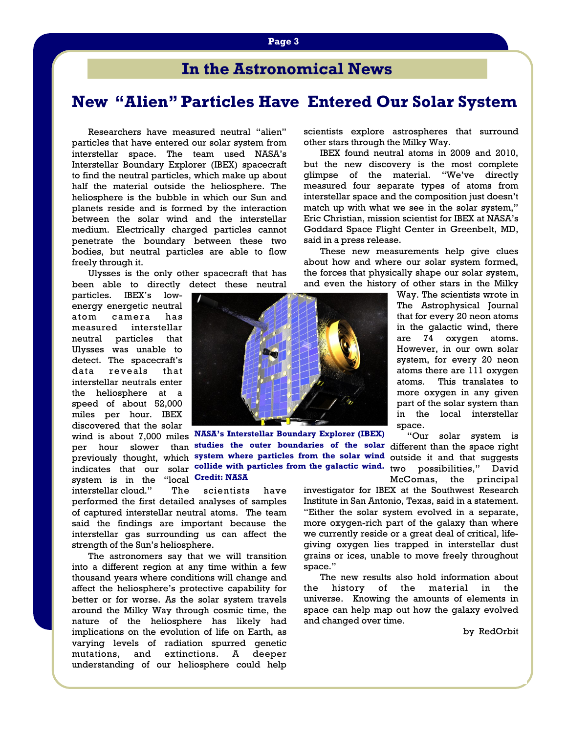## **In the Astronomical News**

# **New "Alien" Particles Have Entered Our Solar System**

Researchers have measured neutral "alien" particles that have entered our solar system from interstellar space. The team used NASA's Interstellar Boundary Explorer (IBEX) spacecraft to find the neutral particles, which make up about half the material outside the heliosphere. The heliosphere is the bubble in which our Sun and planets reside and is formed by the interaction between the solar wind and the interstellar medium. Electrically charged particles cannot penetrate the boundary between these two bodies, but neutral particles are able to flow freely through it.

 Ulysses is the only other spacecraft that has been able to directly detect these neutral

particles. IBEX's lowenergy energetic neutral atom camera has measured interstellar neutral particles that Ulysses was unable to detect. The spacecraft's data reveals that interstellar neutrals enter the heliosphere at a speed of about 52,000 miles per hour. IBEX discovered that the solar

wind is about 7,000 miles **NASA's Interstellar Boundary Explorer (IBEX)**  system is in the "local **Credit: NASA**

interstellar cloud." The scientists have performed the first detailed analyses of samples of captured interstellar neutral atoms. The team said the findings are important because the interstellar gas surrounding us can affect the strength of the Sun's heliosphere.

 The astronomers say that we will transition into a different region at any time within a few thousand years where conditions will change and affect the heliosphere's protective capability for better or for worse. As the solar system travels around the Milky Way through cosmic time, the nature of the heliosphere has likely had implications on the evolution of life on Earth, as varying levels of radiation spurred genetic mutations, and extinctions. A deeper understanding of our heliosphere could help

scientists explore astrospheres that surround other stars through the Milky Way.

 IBEX found neutral atoms in 2009 and 2010, but the new discovery is the most complete glimpse of the material. "We've directly measured four separate types of atoms from interstellar space and the composition just doesn't match up with what we see in the solar system," Eric Christian, mission scientist for IBEX at NASA's Goddard Space Flight Center in Greenbelt, MD, said in a press release.

 These new measurements help give clues about how and where our solar system formed, the forces that physically shape our solar system, and even the history of other stars in the Milky

> Way. The scientists wrote in The Astrophysical Journal that for every 20 neon atoms in the galactic wind, there are 74 oxygen atoms. However, in our own solar system, for every 20 neon atoms there are 111 oxygen atoms. This translates to more oxygen in any given part of the solar system than in the local interstellar space.

per hour slower than studies the outer boundaries of the solar different than the space right previously thought, which system where particles from the solar wind outside it and that suggests indicates that our solar **collide with particles from the galactic wind.** two possibilities," David "Our solar system is McComas, the principal

investigator for IBEX at the Southwest Research Institute in San Antonio, Texas, said in a statement. "Either the solar system evolved in a separate, more oxygen-rich part of the galaxy than where we currently reside or a great deal of critical, lifegiving oxygen lies trapped in interstellar dust grains or ices, unable to move freely throughout space."

 The new results also hold information about the history of the material in the universe. Knowing the amounts of elements in space can help map out how the galaxy evolved and changed over time.

by RedOrbit